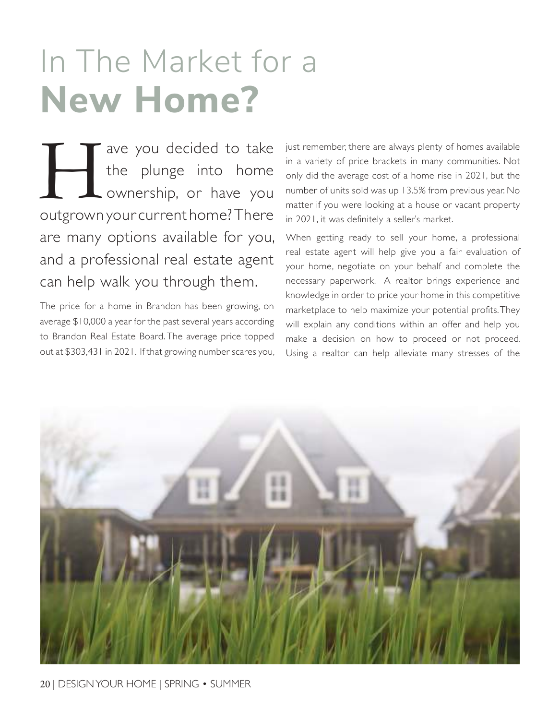## In The Market for a **new Home?**

The you decided to take<br>the plunge into home<br>ownership, or have you the plunge into home ownership, or have you outgrown your current home? There are many options available for you, and a professional real estate agent can help walk you through them.

The price for a home in Brandon has been growing, on average \$10,000 a year for the past several years according to Brandon Real Estate Board. The average price topped out at \$303,431 in 2021. If that growing number scares you, just remember, there are always plenty of homes available in a variety of price brackets in many communities. Not only did the average cost of a home rise in 2021, but the number of units sold was up 13.5% from previous year. No matter if you were looking at a house or vacant property in 2021, it was definitely a seller's market.

When getting ready to sell your home, a professional real estate agent will help give you a fair evaluation of your home, negotiate on your behalf and complete the necessary paperwork. A realtor brings experience and knowledge in order to price your home in this competitive marketplace to help maximize your potential profits. They will explain any conditions within an offer and help you make a decision on how to proceed or not proceed. Using a realtor can help alleviate many stresses of the